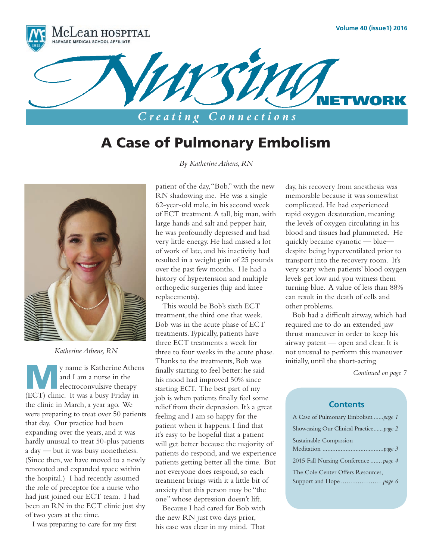

# A Case of Pulmonary Embolism



*Katherine Athens, RN*

y name is Katherine Athens<br>and I am a nurse in the this mood had improved 50% since<br>electroconvulsive therapy starting ECT. The best part of my and I am a nurse in the electroconvulsive therapy (ECT) clinic. It was a busy Friday in the clinic in March, a year ago. We were preparing to treat over 50 patients that day. Our practice had been expanding over the years, and it was hardly unusual to treat 50-plus patients a day — but it was busy nonetheless. (Since then, we have moved to a newly renovated and expanded space within the hospital.) I had recently assumed the role of preceptor for a nurse who had just joined our ECT team. I had been an RN in the ECT clinic just shy of two years at the time.

I was preparing to care for my first

*By Katherine Athens, RN*

patient of the day, "Bob," with the new RN shadowing me. He was a single 62-year-old male, in his second week of ECT treatment. A tall, big man, with large hands and salt and pepper hair, he was profoundly depressed and had very little energy. He had missed a lot of work of late, and his inactivity had resulted in a weight gain of 25 pounds over the past few months. He had a history of hypertension and multiple orthopedic surgeries (hip and knee replacements).

This would be Bob's sixth ECT treatment, the third one that week. Bob was in the acute phase of ECT treatments. Typically, patients have three ECT treatments a week for three to four weeks in the acute phase. Thanks to the treatments, Bob was finally starting to feel better: he said his mood had improved 50% since starting ECT. The best part of my job is when patients finally feel some relief from their depression. It's a great feeling and I am so happy for the patient when it happens. I find that it's easy to be hopeful that a patient will get better because the majority of patients do respond, and we experience patients getting better all the time. But not everyone does respond, so each treatment brings with it a little bit of anxiety that this person may be "the one" whose depression doesn't lift.

Because I had cared for Bob with the new RN just two days prior, his case was clear in my mind. That

day, his recovery from anesthesia was memorable because it was somewhat complicated. He had experienced rapid oxygen desaturation, meaning the levels of oxygen circulating in his blood and tissues had plummeted. He quickly became cyanotic — blue despite being hyperventilated prior to transport into the recovery room. It's very scary when patients' blood oxygen levels get low and you witness them turning blue. A value of less than 88% can result in the death of cells and other problems.

Bob had a difficult airway, which had required me to do an extended jaw thrust maneuver in order to keep his airway patent — open and clear. It is not unusual to perform this maneuver initially, until the short-acting

### **Contents**

| A Case of Pulmonary Embolism <i>page 1</i> |
|--------------------------------------------|
| Showcasing Our Clinical Practice page 2    |
| Sustainable Compassion                     |
|                                            |
| 2015 Fall Nursing Conference  page 4       |
| The Cole Center Offers Resources.          |
|                                            |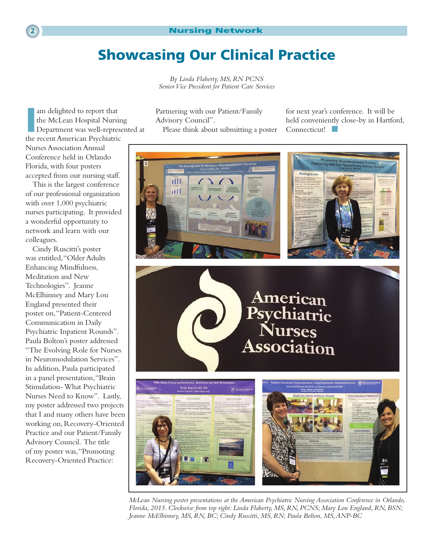# Showcasing Our Clinical Practice

*By Linda Flaherty, MS, RN PCNS Senior Vice President for Patient Care Services*

am delighted to report that<br>the McLean Hospital Nursin<br>Department was well-represe<br>the recent American Psychiatric am delighted to report that the McLean Hospital Nursing Department was well-represented at

Nurses Association Annual Conference held in Orlando Florida, with four posters accepted from our nursing staff.

This is the largest conference of our professional organization with over 1,000 psychiatric nurses participating. It provided a wonderful opportunity to network and learn with our colleagues.

Cindy Ruscitti's poster was entitled, "Older Adults Enhancing Mindfulness, Meditation and New Technologies". Jeanne McElhinney and Mary Lou England presented their poster on, "Patient-Centered Communication in Daily Psychiatric Inpatient Rounds". Paula Bolton's poster addressed "The Evolving Role for Nurses in Neuromodulation Services". In addition, Paula participated in a panel presentation, "Brain Stimulation- What Psychiatric Nurses Need to Know". Lastly, my poster addressed two projects that I and many others have been working on, Recovery-Oriented Practice and our Patient/Family Advisory Council. The title of my poster was, "Promoting Recovery-Oriented Practice:

Partnering with our Patient/Family Advisory Council".

Please think about submitting a poster

for next year's conference. It will be held conveniently close-by in Hartford, Connecticut!



*McLean Nursing poster presentations at the American Psychiatric Nursing Association Conference in Orlando, Florida, 2015. Clockwise from top right: Linda Flaherty, MS, RN, PCNS; Mary Lou England, RN, BSN; Jeanne McElhinney, MS, RN, BC; Cindy Ruscitti, MS, RN; Paula Bolton, MS, ANP-BC*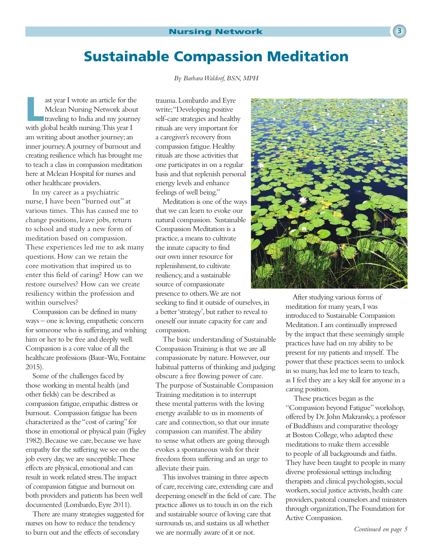# Sustainable Compassion Meditation

ast year I wrote an article for the<br>
Mclean Nursing Network about<br>
traveling to India and my journey<br>
This paper Mclean Nursing Network about with global health nursing. This year I am writing about another journey; an inner journey. A journey of burnout and creating resilience which has brought me to teach a class in compassion meditation here at Mclean Hospital for nurses and other healthcare providers.

In my career as a psychiatric nurse, I have been "burned out" at various times. This has caused me to change positions, leave jobs, return to school and study a new form of meditation based on compassion. These experiences led me to ask many questions. How can we retain the core motivation that inspired us to enter this field of caring? How can we restore ourselves? How can we create resiliency within the profession and within ourselves?

Compassion can be defined in many ways – one is: loving, empathetic concern for someone who is suffering, and wishing him or her to be free and deeply well. Compassion is a core value of all the healthcare professions (Baur-Wu, Fontaine 2015).

Some of the challenges faced by those working in mental health (and other fields) can be described as compassion fatigue, empathic distress or burnout. Compassion fatigue has been characterized as the "cost of caring" for those in emotional or physical pain (Figley 1982). Because we care, because we have empathy for the suffering we see on the job every day, we are susceptible. These effects are physical, emotional and can result in work related stress. The impact of compassion fatigue and burnout on both providers and patients has been well documented (Lombardo, Eyre 2011).

There are many strategies suggested for nurses on how to reduce the tendency to burn out and the effects of secondary

*By Barbara Waldorf, BSN, MPH*

trauma. Lombardo and Eyre write; "Developing positive self-care strategies and healthy rituals are very important for a caregiver's recovery from compassion fatigue. Healthy rituals are those activities that one participates in on a regular basis and that replenish personal energy levels and enhance feelings of well being."

Meditation is one of the ways that we can learn to evoke our natural compassion. Sustainable Compassion Meditation is a practice, a means to cultivate the innate capacity to find our own inner resource for replenishment, to cultivate resiliency, and a sustainable source of compassionate presence to others. We are not seeking to find it outside of ourselves, in a better 'strategy', but rather to reveal to oneself our innate capacity for care and compassion.

The basic understanding of Sustainable Compassion Training is that we are all compassionate by nature. However, our habitual patterns of thinking and judging obscure a free flowing power of care. The purpose of Sustainable Compassion Training meditation is to interrupt these mental patterns with the loving energy available to us in moments of care and connection, so that our innate compassion can manifest. The ability to sense what others are going through evokes a spontaneous wish for their freedom from suffering and an urge to alleviate their pain.

This involves training in three aspects of care, receiving care, extending care and deepening oneself in the field of care. The practice allows us to touch in on the rich and sustainable source of loving care that surrounds us, and sustains us all whether we are normally aware of it or not.



After studying various forms of meditation for many years, I was introduced to Sustainable Compassion Meditation. I am continually impressed by the impact that these seemingly simple practices have had on my ability to be present for my patients and myself. The power that these practices seem to unlock in so many, has led me to learn to teach, as I feel they are a key skill for anyone in a caring position.

 These practices began as the "Compassion beyond Fatigue" workshop, offered by Dr. John Makransky, a professor of Buddhism and comparative theology at Boston College, who adapted these meditations to make them accessible to people of all backgrounds and faiths. They have been taught to people in many diverse professional settings including therapists and clinical psychologists, social workers, social justice activists, health care providers, pastoral counselors and ministers through organization, The Foundation for Active Compassion.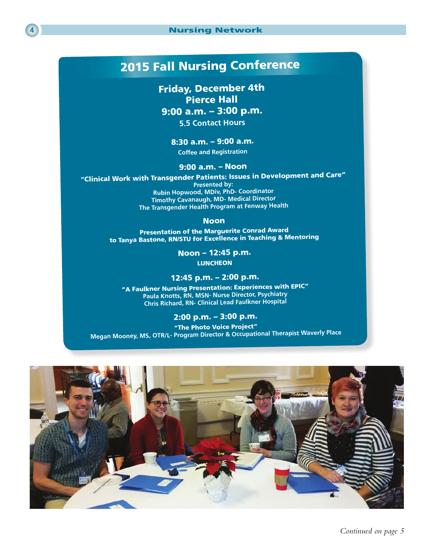

## 2015 Fall Nursing Conference

Friday, December 4th Pierce Hall 9:00 a.m. – 3:00 p.m. **5.5 Contact Hours**

8:30 a.m. – 9:00 a.m.

**Coffee and Registration**

#### 9:00 a.m. – Noon

"Clinical Work with Transgender Patients: Issues in Development and Care"

**Presented by: Rubin Hopwood, MDiv, PhD- Coordinator Timothy Cavanaugh, MD- Medical Director The Transgender Health Program at Fenway Health**

#### Noon

Presentation of the Marguerite Conrad Award to Tanya Bastone, RN/STU for Excellence in Teaching & Mentoring

> Noon – 12:45 p.m. **LUNCHEON**

### 12:45 p.m. – 2:00 p.m.

"A Faulkner Nursing Presentation: Experiences with EPIC" **Paula Knotts, RN, MSN- Nurse Director, Psychiatry Chris Richard, RN- Clinical Lead Faulkner Hospital**

### 2:00 p.m. – 3:00 p.m.

"The Photo Voice Project" **Megan Mooney, MS, OTR/L- Program Director & Occupational Therapist Waverly Place**

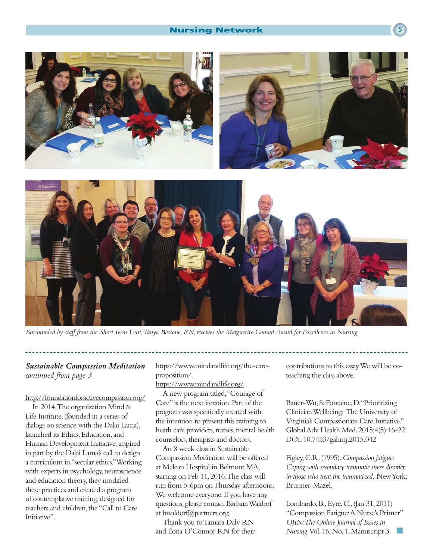#### Nursing Network **<sup>5</sup>**



*Surrounded by staff from the Short Term Unit, Tanya Bastone, RN, receives the Marguerite Conrad Award for Excellence in Nursing.*

### *Sustainable Compassion Meditation continued from page 3*

http://foundationforactivecompassion.org/

In 2014, The organization Mind & Life Institute, (founded in a series of dialogs on science with the Dalai Lama), launched its Ethics, Education, and Human Development Initiative, inspired in part by the Dalai Lama's call to design a curriculum in "secular ethics." Working with experts in psychology, neuroscience and education theory, they modified these practices and created a program of contemplative training, designed for teachers and children, the "Call to Care Initiative".

https://www.mindandlife.org/the-careproposition/

https://www.mindandlife.org/

A new program titled, "Courage of Care" is the next iteration. Part of the program was specifically created with the intention to present this training to heath care providers, nurses, mental health counselors, therapists and doctors.

An 8 week class in Sustainable Compassion Meditation will be offered at Mclean Hospital in Belmont MA, starting on Feb 11, 2016. The class will run from 5-6pm on Thursday afternoons. We welcome everyone. If you have any questions, please contact Barbara Waldorf at bwaldorf@partners.org.

Thank you to Tamara Daly RN and Ilona O'Connor RN for their contributions to this essay. We will be coteaching the class above.

Bauer-Wu, S; Fontaine, D. "Prioritizing Clinician Wellbeing: The University of Virginia's Compassionate Care Initiative." Global Adv Health Med. 2015;4(5):16-22. DOI: 10.7453/gahmj.2015.042

Figley, C.R. (1995). *Compassion fatigue: Coping with secondary traumatic stress disorder in those who treat the traumatized.* New York: Brunner-Mazel.

Lombardo, B., Eyre, C., (Jan 31, 2011) "Compassion Fatigue: A Nurse's Primer" *OJIN: The Online Journal of Issues in Nursing* Vol. 16, No. 1, Manuscript 3.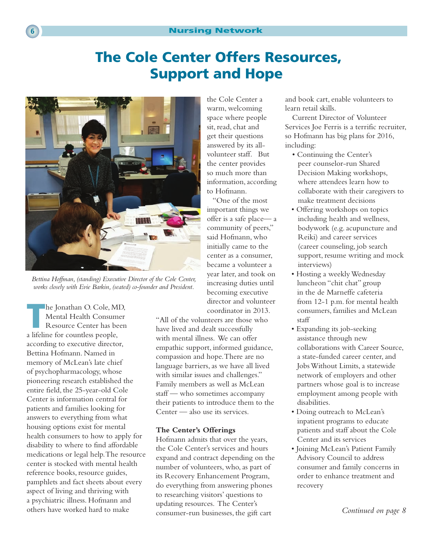#### **6 6** Nursing Network

# The Cole Center Offers Resources, Support and Hope



*Bettina Hoffman, (standing) Executive Director of the Cole Center, works closely with Evie Barkin, (seated) co-founder and President.*

he Jonathan O. Cole, MD,<br>
Mental Health Consumer<br>
Resource Center has been<br>
a ligiling for countler needs Mental Health Consumer a lifeline for countless people, according to executive director, Bettina Hofmann. Named in memory of McLean's late chief of psychopharmacology, whose pioneering research established the entire field, the 25-year-old Cole Center is information central for patients and families looking for answers to everything from what housing options exist for mental health consumers to how to apply for disability to where to find affordable medications or legal help. The resource center is stocked with mental health reference books, resource guides, pamphlets and fact sheets about every aspect of living and thriving with a psychiatric illness. Hofmann and others have worked hard to make

the Cole Center a warm, welcoming space where people sit, read, chat and get their questions answered by its allvolunteer staff. But the center provides so much more than information, according to Hofmann.

 "One of the most important things we offer is a safe place— a community of peers," said Hofmann, who initially came to the center as a consumer, became a volunteer a year later, and took on increasing duties until becoming executive director and volunteer coordinator in 2013.

"All of the volunteers are those who have lived and dealt successfully with mental illness. We can offer empathic support, informed guidance, compassion and hope. There are no language barriers, as we have all lived with similar issues and challenges." Family members as well as McLean staff — who sometimes accompany their patients to introduce them to the Center — also use its services.

#### **The Center's Offerings**

Hofmann admits that over the years, the Cole Center's services and hours expand and contract depending on the number of volunteers, who, as part of its Recovery Enhancement Program, do everything from answering phones to researching visitors' questions to updating resources. The Center's consumer-run businesses, the gift cart

and book cart, enable volunteers to learn retail skills.

Current Director of Volunteer Services Joe Ferris is a terrific recruiter, so Hofmann has big plans for 2016, including:

- Continuing the Center's peer counselor-run Shared Decision Making workshops, where attendees learn how to collaborate with their caregivers to make treatment decisions
- Offering workshops on topics including health and wellness, bodywork (e.g. acupuncture and Reiki) and career services (career counseling, job search support, resume writing and mock interviews)
- Hosting a weekly Wednesday luncheon "chit chat" group in the de Marneffe cafeteria from 12-1 p.m. for mental health consumers, families and McLean staff
- Expanding its job-seeking assistance through new collaborations with Career Source, a state-funded career center, and Jobs Without Limits, a statewide network of employers and other partners whose goal is to increase employment among people with disabilities.
- Doing outreach to McLean's inpatient programs to educate patients and staff about the Cole Center and its services
- Joining McLean's Patient Family Advisory Council to address consumer and family concerns in order to enhance treatment and recovery

*Continued on page 8*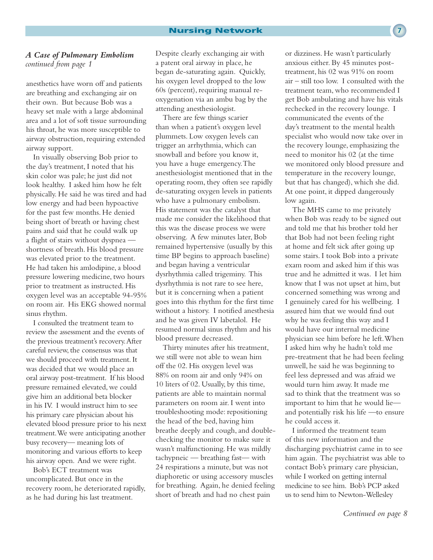#### *A Case of Pulmonary Embolism continued from page 1*

anesthetics have worn off and patients are breathing and exchanging air on their own. But because Bob was a heavy set male with a large abdominal area and a lot of soft tissue surrounding his throat, he was more susceptible to airway obstruction, requiring extended airway support.

In visually observing Bob prior to the day's treatment, I noted that his skin color was pale; he just did not look healthy. I asked him how he felt physically. He said he was tired and had low energy and had been hypoactive for the past few months. He denied being short of breath or having chest pains and said that he could walk up a flight of stairs without dyspnea shortness of breath. His blood pressure was elevated prior to the treatment. He had taken his amlodipine, a blood pressure lowering medicine, two hours prior to treatment as instructed. His oxygen level was an acceptable 94-95% on room air. His EKG showed normal sinus rhythm.

I consulted the treatment team to review the assessment and the events of the previous treatment's recovery. After careful review, the consensus was that we should proceed with treatment. It was decided that we would place an oral airway post-treatment. If his blood pressure remained elevated, we could give him an additional beta blocker in his IV. I would instruct him to see his primary care physician about his elevated blood pressure prior to his next treatment. We were anticipating another busy recovery— meaning lots of monitoring and various efforts to keep his airway open. And we were right.

Bob's ECT treatment was uncomplicated. But once in the recovery room, he deteriorated rapidly, as he had during his last treatment.

Despite clearly exchanging air with a patent oral airway in place, he began de-saturating again. Quickly, his oxygen level dropped to the low 60s (percent), requiring manual reoxygenation via an ambu bag by the attending anesthesiologist.

There are few things scarier than when a patient's oxygen level plummets. Low oxygen levels can trigger an arrhythmia, which can snowball and before you know it, you have a huge emergency. The anesthesiologist mentioned that in the operating room, they often see rapidly de-saturating oxygen levels in patients who have a pulmonary embolism. His statement was the catalyst that made me consider the likelihood that this was the disease process we were observing. A few minutes later, Bob remained hypertensive (usually by this time BP begins to approach baseline) and began having a ventricular dysrhythmia called trigeminy. This dysrhythmia is not rare to see here, but it is concerning when a patient goes into this rhythm for the first time without a history. I notified anesthesia and he was given IV labetalol. He resumed normal sinus rhythm and his blood pressure decreased.

Thirty minutes after his treatment, we still were not able to wean him off the 02. His oxygen level was 88% on room air and only 94% on 10 liters of 02. Usually, by this time, patients are able to maintain normal parameters on room air. I went into troubleshooting mode: repositioning the head of the bed, having him breathe deeply and cough, and doublechecking the monitor to make sure it wasn't malfunctioning. He was mildly tachypneic — breathing fast— with 24 respirations a minute, but was not diaphoretic or using accessory muscles for breathing. Again, he denied feeling short of breath and had no chest pain

or dizziness. He wasn't particularly anxious either. By 45 minutes posttreatment, his 02 was 91% on room air – still too low. I consulted with the treatment team, who recommended I get Bob ambulating and have his vitals rechecked in the recovery lounge. I communicated the events of the day's treatment to the mental health specialist who would now take over in the recovery lounge, emphasizing the need to monitor his 02 (at the time we monitored only blood pressure and temperature in the recovery lounge, but that has changed), which she did. At one point, it dipped dangerously low again.

The MHS came to me privately when Bob was ready to be signed out and told me that his brother told her that Bob had not been feeling right at home and felt sick after going up some stairs. I took Bob into a private exam room and asked him if this was true and he admitted it was. I let him know that I was not upset at him, but concerned something was wrong and I genuinely cared for his wellbeing. I assured him that we would find out why he was feeling this way and I would have our internal medicine physician see him before he left. When I asked him why he hadn't told me pre-treatment that he had been feeling unwell, he said he was beginning to feel less depressed and was afraid we would turn him away. It made me sad to think that the treatment was so important to him that he would lie and potentially risk his life —to ensure he could access it.

I informed the treatment team of this new information and the discharging psychiatrist came in to see him again. The psychiatrist was able to contact Bob's primary care physician, while I worked on getting internal medicine to see him. Bob's PCP asked us to send him to Newton-Wellesley